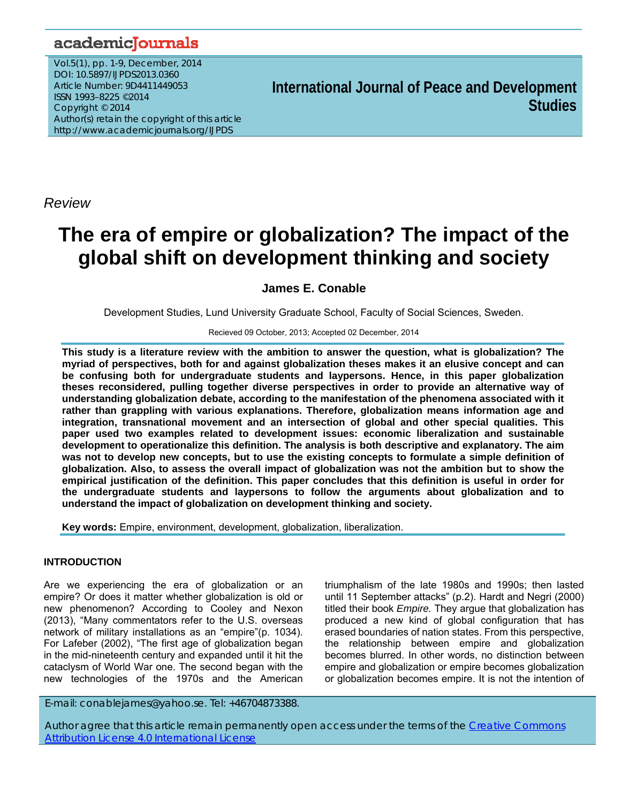# academicJournals

Vol.5(1), pp. 1-9, December, 2014 DOI: 10.5897/IJPDS2013.0360 Article Number: 9D4411449053 ISSN 1993–8225 ©2014 Copyright © 2014 Author(s) retain the copyright of this article http://www.academicjournals.org/IJPDS

**International Journal of Peace and Development Studies**

*Review*

# **The era of empire or globalization? The impact of the global shift on development thinking and society**

# **James E. Conable**

Development Studies, Lund University Graduate School, Faculty of Social Sciences, Sweden.

#### Recieved 09 October, 2013; Accepted 02 December, 2014

**This study is a literature review with the ambition to answer the question, what is globalization? The myriad of perspectives, both for and against globalization theses makes it an elusive concept and can be confusing both for undergraduate students and laypersons. Hence, in this paper globalization theses reconsidered, pulling together diverse perspectives in order to provide an alternative way of understanding globalization debate, according to the manifestation of the phenomena associated with it rather than grappling with various explanations. Therefore, globalization means information age and integration, transnational movement and an intersection of global and other special qualities. This paper used two examples related to development issues: economic liberalization and sustainable development to operationalize this definition. The analysis is both descriptive and explanatory. The aim was not to develop new concepts, but to use the existing concepts to formulate a simple definition of globalization. Also, to assess the overall impact of globalization was not the ambition but to show the empirical justification of the definition. This paper concludes that this definition is useful in order for the undergraduate students and laypersons to follow the arguments about globalization and to understand the impact of globalization on development thinking and society.** 

**Key words:** Empire, environment, development, globalization, liberalization.

## **INTRODUCTION**

Are we experiencing the era of globalization or an empire? Or does it matter whether globalization is old or new phenomenon? According to Cooley and Nexon (2013), "Many commentators refer to the U.S. overseas network of military installations as an "empire"(p. 1034). For Lafeber (2002), "The first age of globalization began in the mid-nineteenth century and expanded until it hit the cataclysm of World War one. The second began with the new technologies of the 1970s and the American triumphalism of the late 1980s and 1990s; then lasted until 11 September attacks" (p.2). Hardt and Negri (2000) titled their book *Empire.* They argue that globalization has produced a new kind of global configuration that has erased boundaries of nation states. From this perspective, the relationship between empire and globalization becomes blurred. In other words, no distinction between empire and globalization or empire becomes globalization or globalization becomes empire. It is not the intention of

E-mail: conablejames@yahoo.se. Tel: +46704873388.

Author agree that this article remain permanently open access under the terms of the Creative Commons Attribution License 4.0 International License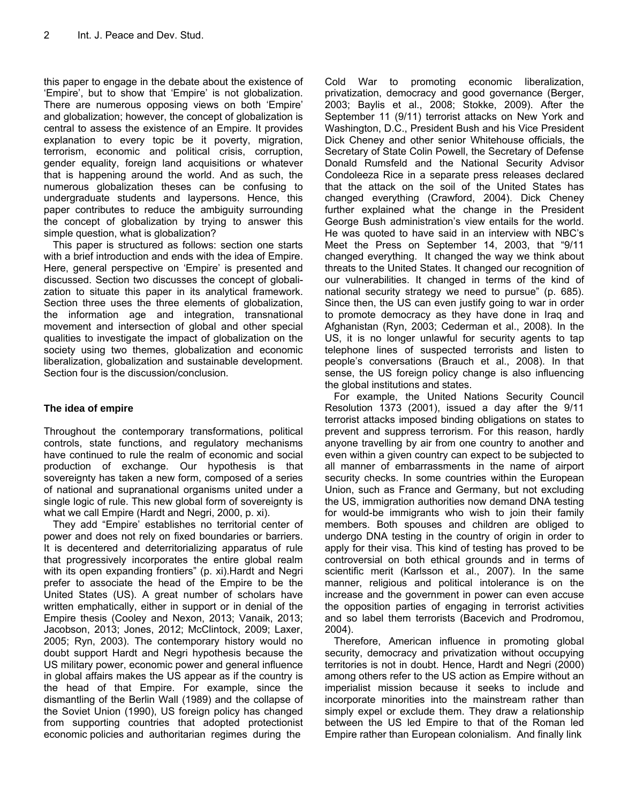this paper to engage in the debate about the existence of 'Empire', but to show that 'Empire' is not globalization. There are numerous opposing views on both 'Empire' and globalization; however, the concept of globalization is central to assess the existence of an Empire. It provides explanation to every topic be it poverty, migration, terrorism, economic and political crisis, corruption, gender equality, foreign land acquisitions or whatever that is happening around the world. And as such, the numerous globalization theses can be confusing to undergraduate students and laypersons. Hence, this paper contributes to reduce the ambiguity surrounding the concept of globalization by trying to answer this simple question, what is globalization?

This paper is structured as follows: section one starts with a brief introduction and ends with the idea of Empire. Here, general perspective on 'Empire' is presented and discussed. Section two discusses the concept of globalization to situate this paper in its analytical framework. Section three uses the three elements of globalization, the information age and integration, transnational movement and intersection of global and other special qualities to investigate the impact of globalization on the society using two themes, globalization and economic liberalization, globalization and sustainable development. Section four is the discussion/conclusion.

# **The idea of empire**

Throughout the contemporary transformations, political controls, state functions, and regulatory mechanisms have continued to rule the realm of economic and social production of exchange. Our hypothesis is that sovereignty has taken a new form, composed of a series of national and supranational organisms united under a single logic of rule. This new global form of sovereignty is what we call Empire (Hardt and Negri, 2000, p. xi).

They add "Empire' establishes no territorial center of power and does not rely on fixed boundaries or barriers. It is decentered and deterritorializing apparatus of rule that progressively incorporates the entire global realm with its open expanding frontiers" (p. xi).Hardt and Negri prefer to associate the head of the Empire to be the United States (US). A great number of scholars have written emphatically, either in support or in denial of the Empire thesis (Cooley and Nexon, 2013; Vanaik, 2013; Jacobson, 2013; Jones, 2012; McClintock, 2009; Laxer, 2005; Ryn, 2003). The contemporary history would no doubt support Hardt and Negri hypothesis because the US military power, economic power and general influence in global affairs makes the US appear as if the country is the head of that Empire. For example, since the dismantling of the Berlin Wall (1989) and the collapse of the Soviet Union (1990), US foreign policy has changed from supporting countries that adopted protectionist economic policies and authoritarian regimes during the

Cold War to promoting economic liberalization, privatization, democracy and good governance (Berger, 2003; Baylis et al., 2008; Stokke, 2009). After the September 11 (9/11) terrorist attacks on New York and Washington, D.C., President Bush and his Vice President Dick Cheney and other senior Whitehouse officials, the Secretary of State Colin Powell, the Secretary of Defense Donald Rumsfeld and the National Security Advisor Condoleeza Rice in a separate press releases declared that the attack on the soil of the United States has changed everything (Crawford, 2004). Dick Cheney further explained what the change in the President George Bush administration's view entails for the world. He was quoted to have said in an interview with NBC's Meet the Press on September 14, 2003, that "9/11 changed everything. It changed the way we think about threats to the United States. It changed our recognition of our vulnerabilities. It changed in terms of the kind of national security strategy we need to pursue" (p. 685). Since then, the US can even justify going to war in order to promote democracy as they have done in Iraq and Afghanistan (Ryn, 2003; Cederman et al., 2008). In the US, it is no longer unlawful for security agents to tap telephone lines of suspected terrorists and listen to people's conversations (Brauch et al., 2008). In that sense, the US foreign policy change is also influencing the global institutions and states.

For example, the United Nations Security Council Resolution 1373 (2001), issued a day after the 9/11 terrorist attacks imposed binding obligations on states to prevent and suppress terrorism. For this reason, hardly anyone travelling by air from one country to another and even within a given country can expect to be subjected to all manner of embarrassments in the name of airport security checks. In some countries within the European Union, such as France and Germany, but not excluding the US, immigration authorities now demand DNA testing for would-be immigrants who wish to join their family members. Both spouses and children are obliged to undergo DNA testing in the country of origin in order to apply for their visa. This kind of testing has proved to be controversial on both ethical grounds and in terms of scientific merit (Karlsson et al., 2007). In the same manner, religious and political intolerance is on the increase and the government in power can even accuse the opposition parties of engaging in terrorist activities and so label them terrorists (Bacevich and Prodromou, 2004).

Therefore, American influence in promoting global security, democracy and privatization without occupying territories is not in doubt. Hence, Hardt and Negri (2000) among others refer to the US action as Empire without an imperialist mission because it seeks to include and incorporate minorities into the mainstream rather than simply expel or exclude them. They draw a relationship between the US led Empire to that of the Roman led Empire rather than European colonialism. And finally link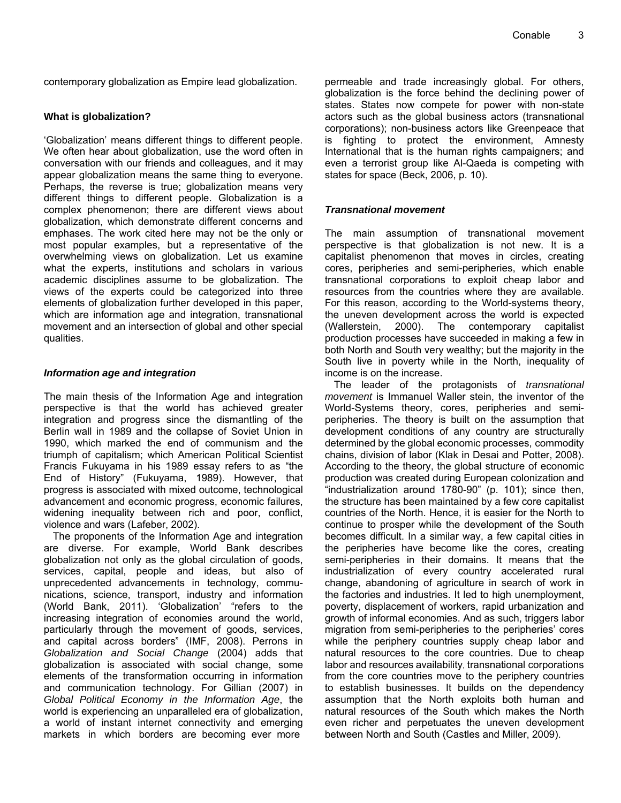contemporary globalization as Empire lead globalization.

# **What is globalization?**

'Globalization' means different things to different people. We often hear about globalization, use the word often in conversation with our friends and colleagues, and it may appear globalization means the same thing to everyone. Perhaps, the reverse is true; globalization means very different things to different people. Globalization is a complex phenomenon; there are different views about globalization, which demonstrate different concerns and emphases. The work cited here may not be the only or most popular examples, but a representative of the overwhelming views on globalization. Let us examine what the experts, institutions and scholars in various academic disciplines assume to be globalization. The views of the experts could be categorized into three elements of globalization further developed in this paper, which are information age and integration, transnational movement and an intersection of global and other special qualities.

# *Information age and integration*

The main thesis of the Information Age and integration perspective is that the world has achieved greater integration and progress since the dismantling of the Berlin wall in 1989 and the collapse of Soviet Union in 1990, which marked the end of communism and the triumph of capitalism; which American Political Scientist Francis Fukuyama in his 1989 essay refers to as "the End of History" (Fukuyama, 1989). However, that progress is associated with mixed outcome, technological advancement and economic progress, economic failures, widening inequality between rich and poor, conflict, violence and wars (Lafeber, 2002).

The proponents of the Information Age and integration are diverse. For example, World Bank describes globalization not only as the global circulation of goods, services, capital, people and ideas, but also of unprecedented advancements in technology, communications, science, transport, industry and information (World Bank, 2011). 'Globalization' "refers to the increasing integration of economies around the world, particularly through the movement of goods, services, and capital across borders" (IMF, 2008). Perrons in *Globalization and Social Change* (2004) adds that globalization is associated with social change, some elements of the transformation occurring in information and communication technology. For Gillian (2007) in *Global Political Economy in the Information Age*, the world is experiencing an unparalleled era of globalization, a world of instant internet connectivity and emerging markets in which borders are becoming ever more

permeable and trade increasingly global. For others, globalization is the force behind the declining power of states. States now compete for power with non-state actors such as the global business actors (transnational corporations); non-business actors like Greenpeace that is fighting to protect the environment, Amnesty International that is the human rights campaigners; and even a terrorist group like Al-Qaeda is competing with states for space (Beck, 2006, p. 10).

# *Transnational movement*

The main assumption of transnational movement perspective is that globalization is not new. It is a capitalist phenomenon that moves in circles, creating cores, peripheries and semi-peripheries, which enable transnational corporations to exploit cheap labor and resources from the countries where they are available. For this reason, according to the World-systems theory, the uneven development across the world is expected (Wallerstein, 2000). The contemporary capitalist production processes have succeeded in making a few in both North and South very wealthy; but the majority in the South live in poverty while in the North, inequality of income is on the increase.

The leader of the protagonists of *transnational movement* is Immanuel Waller stein, the inventor of the World-Systems theory, cores, peripheries and semiperipheries. The theory is built on the assumption that development conditions of any country are structurally determined by the global economic processes, commodity chains, division of labor (Klak in Desai and Potter, 2008). According to the theory, the global structure of economic production was created during European colonization and "industrialization around 1780-90" (p. 101); since then, the structure has been maintained by a few core capitalist countries of the North. Hence, it is easier for the North to continue to prosper while the development of the South becomes difficult. In a similar way, a few capital cities in the peripheries have become like the cores, creating semi-peripheries in their domains. It means that the industrialization of every country accelerated rural change, abandoning of agriculture in search of work in the factories and industries. It led to high unemployment, poverty, displacement of workers, rapid urbanization and growth of informal economies. And as such, triggers labor migration from semi-peripheries to the peripheries' cores while the periphery countries supply cheap labor and natural resources to the core countries. Due to cheap labor and resources availability, transnational corporations from the core countries move to the periphery countries to establish businesses. It builds on the dependency assumption that the North exploits both human and natural resources of the South which makes the North even richer and perpetuates the uneven development between North and South (Castles and Miller, 2009).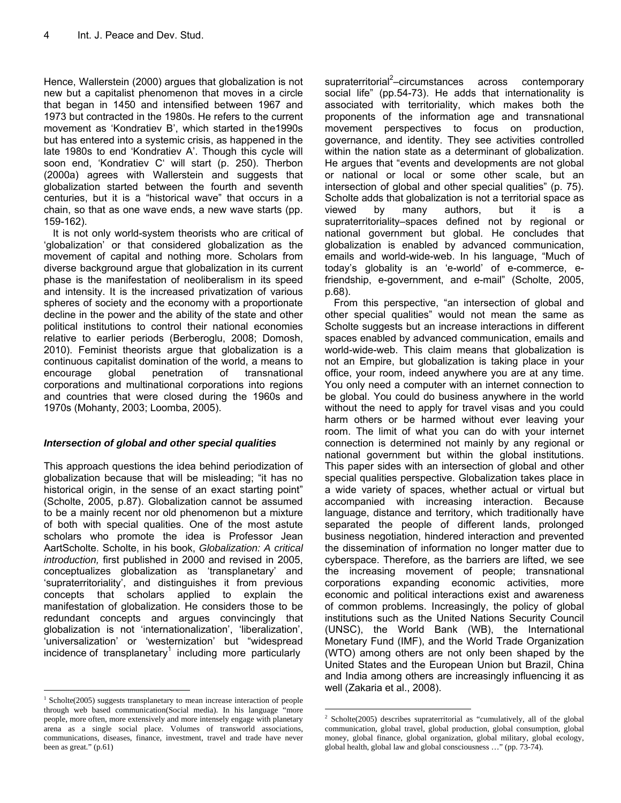Hence, Wallerstein (2000) argues that globalization is not new but a capitalist phenomenon that moves in a circle that began in 1450 and intensified between 1967 and 1973 but contracted in the 1980s. He refers to the current movement as 'Kondratiev B', which started in the1990s but has entered into a systemic crisis, as happened in the late 1980s to end 'Kondratiev A'. Though this cycle will soon end, 'Kondratiev C' will start (p. 250). Therbon (2000a) agrees with Wallerstein and suggests that globalization started between the fourth and seventh centuries, but it is a "historical wave" that occurs in a chain, so that as one wave ends, a new wave starts (pp. 159-162).

It is not only world-system theorists who are critical of 'globalization' or that considered globalization as the movement of capital and nothing more. Scholars from diverse background argue that globalization in its current phase is the manifestation of neoliberalism in its speed and intensity. It is the increased privatization of various spheres of society and the economy with a proportionate decline in the power and the ability of the state and other political institutions to control their national economies relative to earlier periods (Berberoglu, 2008; Domosh, 2010). Feminist theorists argue that globalization is a continuous capitalist domination of the world, a means to encourage global penetration of transnational corporations and multinational corporations into regions and countries that were closed during the 1960s and 1970s (Mohanty, 2003; Loomba, 2005).

## *Intersection of global and other special qualities*

This approach questions the idea behind periodization of globalization because that will be misleading; "it has no historical origin, in the sense of an exact starting point" (Scholte, 2005, p.87). Globalization cannot be assumed to be a mainly recent nor old phenomenon but a mixture of both with special qualities. One of the most astute scholars who promote the idea is Professor Jean AartScholte. Scholte, in his book, *Globalization: A critical introduction,* first published in 2000 and revised in 2005, conceptualizes globalization as 'transplanetary' and 'supraterritoriality', and distinguishes it from previous concepts that scholars applied to explain the manifestation of globalization. He considers those to be redundant concepts and argues convincingly that globalization is not 'internationalization', 'liberalization', 'universalization' or 'westernization' but "widespread incidence of transplanetary<sup>1</sup> including more particularly

 $\overline{a}$ 

supraterritorial<sup>2</sup>–circumstances across contemporary social life" (pp.54-73). He adds that internationality is associated with territoriality, which makes both the proponents of the information age and transnational movement perspectives to focus on production, governance, and identity. They see activities controlled within the nation state as a determinant of globalization. He argues that "events and developments are not global or national or local or some other scale, but an intersection of global and other special qualities" (p. 75). Scholte adds that globalization is not a territorial space as viewed by many authors, but it is a supraterritoriality-spaces defined not by regional or national government but global. He concludes that globalization is enabled by advanced communication, emails and world-wide-web. In his language, "Much of today's globality is an 'e-world' of e-commerce, efriendship, e-government, and e-mail" (Scholte, 2005, p.68).

From this perspective, "an intersection of global and other special qualities" would not mean the same as Scholte suggests but an increase interactions in different spaces enabled by advanced communication, emails and world-wide-web. This claim means that globalization is not an Empire, but globalization is taking place in your office, your room, indeed anywhere you are at any time. You only need a computer with an internet connection to be global. You could do business anywhere in the world without the need to apply for travel visas and you could harm others or be harmed without ever leaving your room. The limit of what you can do with your internet connection is determined not mainly by any regional or national government but within the global institutions. This paper sides with an intersection of global and other special qualities perspective. Globalization takes place in a wide variety of spaces, whether actual or virtual but accompanied with increasing interaction. Because language, distance and territory, which traditionally have separated the people of different lands, prolonged business negotiation, hindered interaction and prevented the dissemination of information no longer matter due to cyberspace. Therefore, as the barriers are lifted, we see the increasing movement of people; transnational corporations expanding economic activities, more economic and political interactions exist and awareness of common problems. Increasingly, the policy of global institutions such as the United Nations Security Council (UNSC), the World Bank (WB), the International Monetary Fund (IMF), and the World Trade Organization (WTO) among others are not only been shaped by the United States and the European Union but Brazil, China and India among others are increasingly influencing it as well (Zakaria et al., 2008).

 $\overline{a}$ 

 $1$  Scholte(2005) suggests transplanetary to mean increase interaction of people through web based communication(Social media). In his language "more people, more often, more extensively and more intensely engage with planetary arena as a single social place. Volumes of transworld associations, communications, diseases, finance, investment, travel and trade have never been as great." (p.61)

<sup>&</sup>lt;sup>2</sup> Scholte(2005) describes supraterritorial as "cumulatively, all of the global communication, global travel, global production, global consumption, global money, global finance, global organization, global military, global ecology, global health, global law and global consciousness …" (pp. 73-74).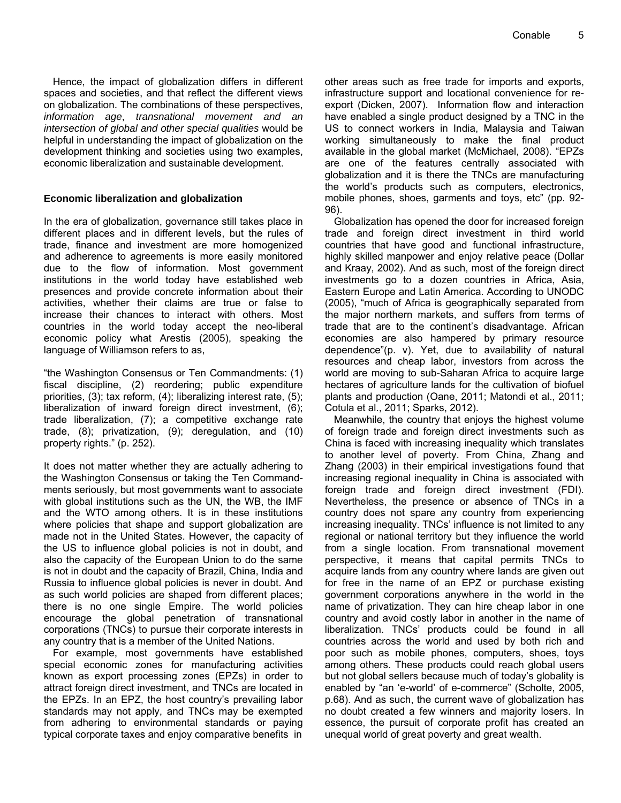Hence, the impact of globalization differs in different spaces and societies, and that reflect the different views on globalization. The combinations of these perspectives, *information age*, *transnational movement and an intersection of global and other special qualities* would be helpful in understanding the impact of globalization on the development thinking and societies using two examples, economic liberalization and sustainable development.

## **Economic liberalization and globalization**

In the era of globalization, governance still takes place in different places and in different levels, but the rules of trade, finance and investment are more homogenized and adherence to agreements is more easily monitored due to the flow of information. Most government institutions in the world today have established web presences and provide concrete information about their activities, whether their claims are true or false to increase their chances to interact with others. Most countries in the world today accept the neo-liberal economic policy what Arestis (2005), speaking the language of Williamson refers to as,

"the Washington Consensus or Ten Commandments: (1) fiscal discipline, (2) reordering; public expenditure priorities, (3); tax reform, (4); liberalizing interest rate, (5); liberalization of inward foreign direct investment, (6); trade liberalization, (7); a competitive exchange rate trade, (8); privatization, (9); deregulation, and (10) property rights." (p. 252).

It does not matter whether they are actually adhering to the Washington Consensus or taking the Ten Commandments seriously, but most governments want to associate with global institutions such as the UN, the WB, the IMF and the WTO among others. It is in these institutions where policies that shape and support globalization are made not in the United States. However, the capacity of the US to influence global policies is not in doubt, and also the capacity of the European Union to do the same is not in doubt and the capacity of Brazil, China, India and Russia to influence global policies is never in doubt. And as such world policies are shaped from different places; there is no one single Empire. The world policies encourage the global penetration of transnational corporations (TNCs) to pursue their corporate interests in any country that is a member of the United Nations.

For example, most governments have established special economic zones for manufacturing activities known as export processing zones (EPZs) in order to attract foreign direct investment, and TNCs are located in the EPZs. In an EPZ, the host country's prevailing labor standards may not apply, and TNCs may be exempted from adhering to environmental standards or paying typical corporate taxes and enjoy comparative benefits in other areas such as free trade for imports and exports, infrastructure support and locational convenience for reexport (Dicken, 2007). Information flow and interaction have enabled a single product designed by a TNC in the US to connect workers in India, Malaysia and Taiwan working simultaneously to make the final product available in the global market (McMichael, 2008). "EPZs are one of the features centrally associated with globalization and it is there the TNCs are manufacturing the world's products such as computers, electronics, mobile phones, shoes, garments and toys, etc" (pp. 92- 96).

Globalization has opened the door for increased foreign trade and foreign direct investment in third world countries that have good and functional infrastructure, highly skilled manpower and enjoy relative peace (Dollar and Kraay, 2002). And as such, most of the foreign direct investments go to a dozen countries in Africa, Asia, Eastern Europe and Latin America. According to UNODC (2005), "much of Africa is geographically separated from the major northern markets, and suffers from terms of trade that are to the continent's disadvantage. African economies are also hampered by primary resource dependence"(p. v). Yet, due to availability of natural resources and cheap labor, investors from across the world are moving to sub-Saharan Africa to acquire large hectares of agriculture lands for the cultivation of biofuel plants and production (Oane, 2011; Matondi et al., 2011; Cotula et al., 2011; Sparks, 2012).

Meanwhile, the country that enjoys the highest volume of foreign trade and foreign direct investments such as China is faced with increasing inequality which translates to another level of poverty. From China, Zhang and Zhang (2003) in their empirical investigations found that increasing regional inequality in China is associated with foreign trade and foreign direct investment (FDI). Nevertheless, the presence or absence of TNCs in a country does not spare any country from experiencing increasing inequality. TNCs' influence is not limited to any regional or national territory but they influence the world from a single location. From transnational movement perspective, it means that capital permits TNCs to acquire lands from any country where lands are given out for free in the name of an EPZ or purchase existing government corporations anywhere in the world in the name of privatization. They can hire cheap labor in one country and avoid costly labor in another in the name of liberalization. TNCs' products could be found in all countries across the world and used by both rich and poor such as mobile phones, computers, shoes, toys among others. These products could reach global users but not global sellers because much of today's globality is enabled by "an 'e-world' of e-commerce" (Scholte, 2005, p.68). And as such, the current wave of globalization has no doubt created a few winners and majority losers. In essence, the pursuit of corporate profit has created an unequal world of great poverty and great wealth.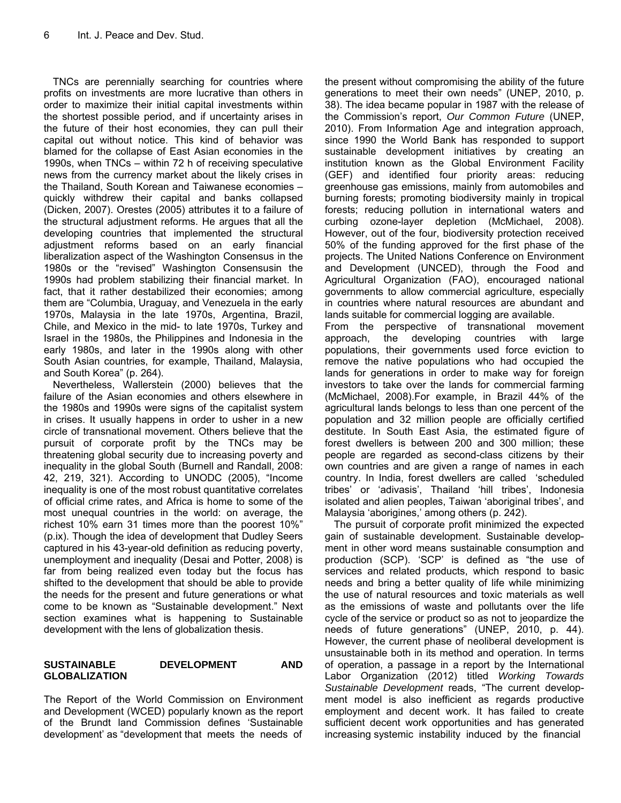TNCs are perennially searching for countries where profits on investments are more lucrative than others in order to maximize their initial capital investments within the shortest possible period, and if uncertainty arises in the future of their host economies, they can pull their capital out without notice. This kind of behavior was blamed for the collapse of East Asian economies in the 1990s, when TNCs – within 72 h of receiving speculative news from the currency market about the likely crises in the Thailand, South Korean and Taiwanese economies – quickly withdrew their capital and banks collapsed (Dicken, 2007). Orestes (2005) attributes it to a failure of the structural adjustment reforms. He argues that all the developing countries that implemented the structural adjustment reforms based on an early financial liberalization aspect of the Washington Consensus in the 1980s or the "revised" Washington Consensusin the 1990s had problem stabilizing their financial market. In fact, that it rather destabilized their economies; among them are "Columbia, Uraguay, and Venezuela in the early 1970s, Malaysia in the late 1970s, Argentina, Brazil, Chile, and Mexico in the mid- to late 1970s, Turkey and Israel in the 1980s, the Philippines and Indonesia in the early 1980s, and later in the 1990s along with other South Asian countries, for example, Thailand, Malaysia, and South Korea" (p. 264).

Nevertheless, Wallerstein (2000) believes that the failure of the Asian economies and others elsewhere in the 1980s and 1990s were signs of the capitalist system in crises. It usually happens in order to usher in a new circle of transnational movement. Others believe that the pursuit of corporate profit by the TNCs may be threatening global security due to increasing poverty and inequality in the global South (Burnell and Randall, 2008: 42, 219, 321). According to UNODC (2005), "Income inequality is one of the most robust quantitative correlates of official crime rates, and Africa is home to some of the most unequal countries in the world: on average, the richest 10% earn 31 times more than the poorest 10%" (p.ix). Though the idea of development that Dudley Seers captured in his 43-year-old definition as reducing poverty, unemployment and inequality (Desai and Potter, 2008) is far from being realized even today but the focus has shifted to the development that should be able to provide the needs for the present and future generations or what come to be known as "Sustainable development." Next section examines what is happening to Sustainable development with the lens of globalization thesis.

# **SUSTAINABLE DEVELOPMENT AND GLOBALIZATION**

The Report of the World Commission on Environment and Development (WCED) popularly known as the report of the Brundt land Commission defines 'Sustainable development' as "development that meets the needs of

the present without compromising the ability of the future generations to meet their own needs" (UNEP, 2010, p. 38). The idea became popular in 1987 with the release of the Commission's report, *Our Common Future* (UNEP, 2010). From Information Age and integration approach, since 1990 the World Bank has responded to support sustainable development initiatives by creating an institution known as the Global Environment Facility (GEF) and identified four priority areas: reducing greenhouse gas emissions, mainly from automobiles and burning forests; promoting biodiversity mainly in tropical forests; reducing pollution in international waters and curbing ozone-layer depletion (McMichael, 2008). However, out of the four, biodiversity protection received 50% of the funding approved for the first phase of the projects. The United Nations Conference on Environment and Development (UNCED), through the Food and Agricultural Organization (FAO), encouraged national governments to allow commercial agriculture, especially in countries where natural resources are abundant and lands suitable for commercial logging are available.

From the perspective of transnational movement approach, the developing countries with large populations, their governments used force eviction to remove the native populations who had occupied the lands for generations in order to make way for foreign investors to take over the lands for commercial farming (McMichael, 2008).For example, in Brazil 44% of the agricultural lands belongs to less than one percent of the population and 32 million people are officially certified destitute. In South East Asia, the estimated figure of forest dwellers is between 200 and 300 million; these people are regarded as second-class citizens by their own countries and are given a range of names in each country. In India, forest dwellers are called 'scheduled tribes' or 'adivasis', Thailand 'hill tribes', Indonesia isolated and alien peoples, Taiwan 'aboriginal tribes', and Malaysia 'aborigines,' among others (p. 242).

The pursuit of corporate profit minimized the expected gain of sustainable development. Sustainable development in other word means sustainable consumption and production (SCP). 'SCP' is defined as "the use of services and related products, which respond to basic needs and bring a better quality of life while minimizing the use of natural resources and toxic materials as well as the emissions of waste and pollutants over the life cycle of the service or product so as not to jeopardize the needs of future generations" (UNEP, 2010, p. 44). However, the current phase of neoliberal development is unsustainable both in its method and operation. In terms of operation, a passage in a report by the International Labor Organization (2012) titled *Working Towards Sustainable Development* reads, "The current development model is also inefficient as regards productive employment and decent work. It has failed to create sufficient decent work opportunities and has generated increasing systemic instability induced by the financial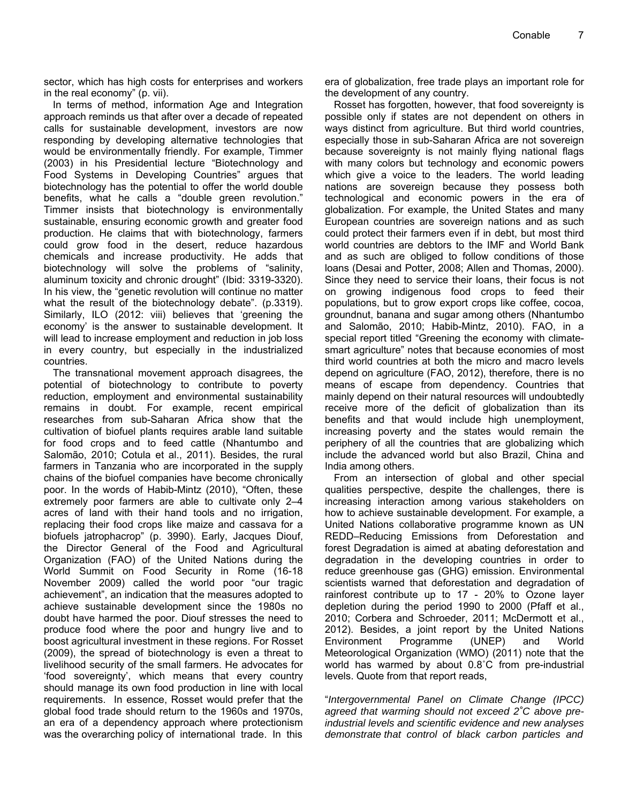sector, which has high costs for enterprises and workers in the real economy" (p. vii).

In terms of method, information Age and Integration approach reminds us that after over a decade of repeated calls for sustainable development, investors are now responding by developing alternative technologies that would be environmentally friendly. For example, Timmer (2003) in his Presidential lecture "Biotechnology and Food Systems in Developing Countries" argues that biotechnology has the potential to offer the world double benefits, what he calls a "double green revolution." Timmer insists that biotechnology is environmentally sustainable, ensuring economic growth and greater food production. He claims that with biotechnology, farmers could grow food in the desert, reduce hazardous chemicals and increase productivity. He adds that biotechnology will solve the problems of "salinity, aluminum toxicity and chronic drought" (Ibid: 3319-3320). In his view, the "genetic revolution will continue no matter what the result of the biotechnology debate". (p.3319). Similarly, ILO (2012: viii) believes that 'greening the economy' is the answer to sustainable development. It will lead to increase employment and reduction in job loss in every country, but especially in the industrialized countries.

The transnational movement approach disagrees, the potential of biotechnology to contribute to poverty reduction, employment and environmental sustainability remains in doubt. For example, recent empirical researches from sub-Saharan Africa show that the cultivation of biofuel plants requires arable land suitable for food crops and to feed cattle (Nhantumbo and Salomão, 2010; Cotula et al., 2011). Besides, the rural farmers in Tanzania who are incorporated in the supply chains of the biofuel companies have become chronically poor. In the words of Habib-Mintz (2010), "Often, these extremely poor farmers are able to cultivate only 2–4 acres of land with their hand tools and no irrigation, replacing their food crops like maize and cassava for a biofuels jatrophacrop" (p. 3990). Early, Jacques Diouf, the Director General of the Food and Agricultural Organization (FAO) of the United Nations during the World Summit on Food Security in Rome (16-18 November 2009) called the world poor "our tragic achievement", an indication that the measures adopted to achieve sustainable development since the 1980s no doubt have harmed the poor. Diouf stresses the need to produce food where the poor and hungry live and to boost agricultural investment in these regions. For Rosset (2009), the spread of biotechnology is even a threat to livelihood security of the small farmers. He advocates for 'food sovereignty', which means that every country should manage its own food production in line with local requirements. In essence, Rosset would prefer that the global food trade should return to the 1960s and 1970s, an era of a dependency approach where protectionism was the overarching policy of international trade. In this

era of globalization, free trade plays an important role for the development of any country.

Rosset has forgotten, however, that food sovereignty is possible only if states are not dependent on others in ways distinct from agriculture. But third world countries, especially those in sub-Saharan Africa are not sovereign because sovereignty is not mainly flying national flags with many colors but technology and economic powers which give a voice to the leaders. The world leading nations are sovereign because they possess both technological and economic powers in the era of globalization. For example, the United States and many European countries are sovereign nations and as such could protect their farmers even if in debt, but most third world countries are debtors to the IMF and World Bank and as such are obliged to follow conditions of those loans (Desai and Potter, 2008; Allen and Thomas, 2000). Since they need to service their loans, their focus is not on growing indigenous food crops to feed their populations, but to grow export crops like coffee, cocoa, groundnut, banana and sugar among others (Nhantumbo and Salomão, 2010; Habib-Mintz, 2010). FAO, in a special report titled "Greening the economy with climatesmart agriculture" notes that because economies of most third world countries at both the micro and macro levels depend on agriculture (FAO, 2012), therefore, there is no means of escape from dependency. Countries that mainly depend on their natural resources will undoubtedly receive more of the deficit of globalization than its benefits and that would include high unemployment, increasing poverty and the states would remain the periphery of all the countries that are globalizing which include the advanced world but also Brazil, China and India among others.

From an intersection of global and other special qualities perspective, despite the challenges, there is increasing interaction among various stakeholders on how to achieve sustainable development. For example, a United Nations collaborative programme known as UN REDD–Reducing Emissions from Deforestation and forest Degradation is aimed at abating deforestation and degradation in the developing countries in order to reduce greenhouse gas (GHG) emission. Environmental scientists warned that deforestation and degradation of rainforest contribute up to 17 - 20% to Ozone layer depletion during the period 1990 to 2000 (Pfaff et al., 2010; Corbera and Schroeder, 2011; McDermott et al., 2012). Besides, a joint report by the United Nations Environment Programme (UNEP) and World Meteorological Organization (WMO) (2011) note that the world has warmed by about 0.8˚C from pre-industrial levels. Quote from that report reads,

"*Intergovernmental Panel on Climate Change (IPCC) agreed that warming should not exceed 2˚C above preindustrial levels and scientific evidence and new analyses demonstrate that control of black carbon particles and*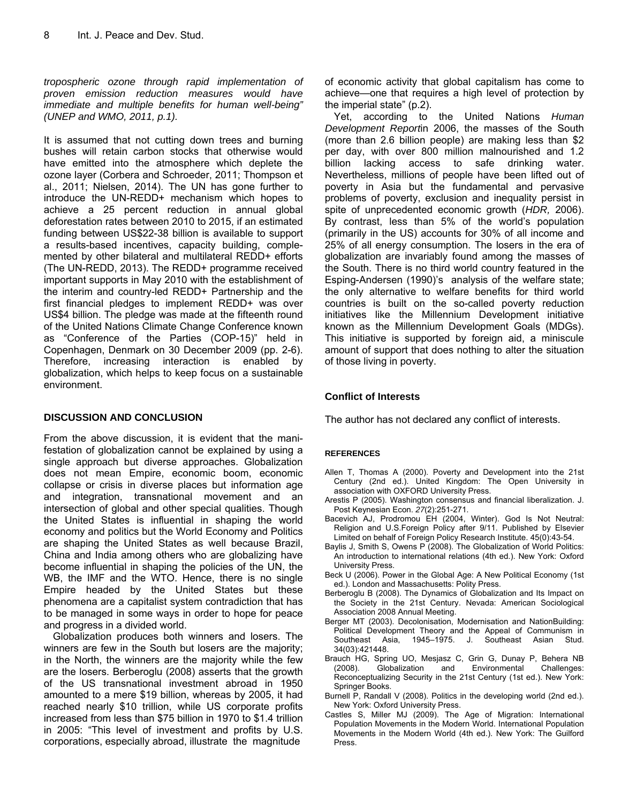*tropospheric ozone through rapid implementation of proven emission reduction measures would have immediate and multiple benefits for human well-being" (UNEP and WMO, 2011, p.1).* 

It is assumed that not cutting down trees and burning bushes will retain carbon stocks that otherwise would have emitted into the atmosphere which deplete the ozone layer (Corbera and Schroeder, 2011; Thompson et al., 2011; Nielsen, 2014). The UN has gone further to introduce the UN-REDD+ mechanism which hopes to achieve a 25 percent reduction in annual global deforestation rates between 2010 to 2015, if an estimated funding between US\$22-38 billion is available to support a results-based incentives, capacity building, complemented by other bilateral and multilateral REDD+ efforts (The UN-REDD, 2013). The REDD+ programme received important supports in May 2010 with the establishment of the interim and country-led REDD+ Partnership and the first financial pledges to implement REDD+ was over US\$4 billion. The pledge was made at the fifteenth round of the United Nations Climate Change Conference known as "Conference of the Parties (COP-15)" held in Copenhagen, Denmark on 30 December 2009 (pp. 2-6). Therefore, increasing interaction is enabled by globalization, which helps to keep focus on a sustainable environment.

#### **DISCUSSION AND CONCLUSION**

From the above discussion, it is evident that the manifestation of globalization cannot be explained by using a single approach but diverse approaches. Globalization does not mean Empire, economic boom, economic collapse or crisis in diverse places but information age and integration, transnational movement and an intersection of global and other special qualities. Though the United States is influential in shaping the world economy and politics but the World Economy and Politics are shaping the United States as well because Brazil, China and India among others who are globalizing have become influential in shaping the policies of the UN, the WB, the IMF and the WTO. Hence, there is no single Empire headed by the United States but these phenomena are a capitalist system contradiction that has to be managed in some ways in order to hope for peace and progress in a divided world.

Globalization produces both winners and losers. The winners are few in the South but losers are the majority; in the North, the winners are the majority while the few are the losers. Berberoglu (2008) asserts that the growth of the US transnational investment abroad in 1950 amounted to a mere \$19 billion, whereas by 2005, it had reached nearly \$10 trillion, while US corporate profits increased from less than \$75 billion in 1970 to \$1.4 trillion in 2005: "This level of investment and profits by U.S. corporations, especially abroad, illustrate the magnitude

of economic activity that global capitalism has come to achieve—one that requires a high level of protection by the imperial state" (p.2).

Yet, according to the United Nations *Human Development Report*in 2006, the masses of the South (more than 2.6 billion people) are making less than \$2 per day, with over 800 million malnourished and 1.2 billion lacking access to safe drinking water. Nevertheless, millions of people have been lifted out of poverty in Asia but the fundamental and pervasive problems of poverty, exclusion and inequality persist in spite of unprecedented economic growth (*HDR,* 2006). By contrast, less than 5% of the world's population (primarily in the US) accounts for 30% of all income and 25% of all energy consumption. The losers in the era of globalization are invariably found among the masses of the South. There is no third world country featured in the Esping-Andersen (1990)'s analysis of the welfare state; the only alternative to welfare benefits for third world countries is built on the so-called poverty reduction initiatives like the Millennium Development initiative known as the Millennium Development Goals (MDGs). This initiative is supported by foreign aid, a miniscule amount of support that does nothing to alter the situation of those living in poverty.

#### **Conflict of Interests**

The author has not declared any conflict of interests.

#### **REFERENCES**

- Allen T, Thomas A (2000). Poverty and Development into the 21st Century (2nd ed.). United Kingdom: The Open University in association with OXFORD University Press.
- Arestis P (2005). Washington consensus and financial liberalization. J. Post Keynesian Econ. *27*(2):251-271.
- Bacevich AJ, Prodromou EH (2004, Winter). God Is Not Neutral: Religion and U.S.Foreign Policy after 9/11. Published by Elsevier Limited on behalf of Foreign Policy Research Institute. 45(0):43-54.
- Baylis J, Smith S, Owens P (2008). The Globalization of World Politics: An introduction to international relations (4th ed.). New York: Oxford University Press.
- Beck U (2006). Power in the Global Age: A New Political Economy (1st ed.). London and Massachusetts: Polity Press.
- Berberoglu B (2008). The Dynamics of Globalization and Its Impact on the Society in the 21st Century. Nevada: American Sociological Association 2008 Annual Meeting.
- Berger MT (2003). Decolonisation, Modernisation and NationBuilding: Political Development Theory and the Appeal of Communism in<br>Southeast Asia, 1945–1975. J. Southeast Asian Stud. 1945–1975. J. Southeast 34(03):421448.
- Brauch HG, Spring UO, Mesjasz C, Grin G, Dunay P, Behera NB (2008). Globalization and Environmental Challenges: Reconceptualizing Security in the 21st Century (1st ed.). New York: Springer Books.
- Burnell P, Randall V (2008). Politics in the developing world (2nd ed.). New York: Oxford University Press.
- Castles S, Miller MJ (2009). The Age of Migration: International Population Movements in the Modern World. International Population Movements in the Modern World (4th ed.). New York: The Guilford Press.